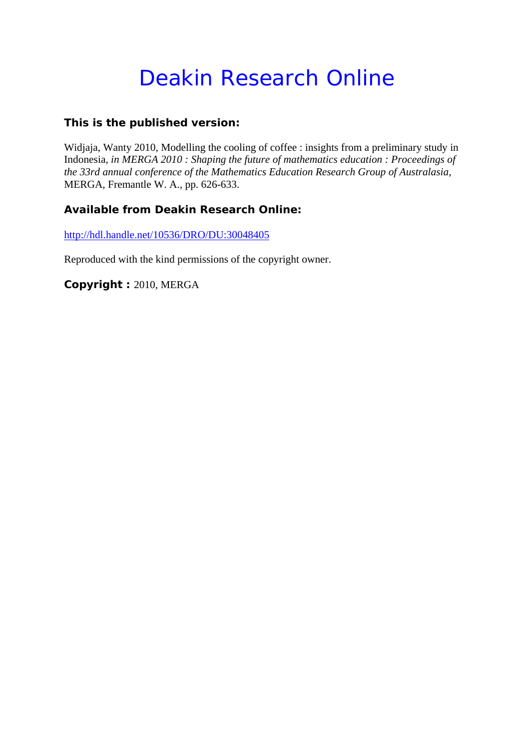# Deakin Research Online

# **This is the published version:**

Widjaja, Wanty 2010, Modelling the cooling of coffee : insights from a preliminary study in Indonesia*, in MERGA 2010 : Shaping the future of mathematics education : Proceedings of the 33rd annual conference of the Mathematics Education Research Group of Australasia*, MERGA, Fremantle W. A., pp. 626-633.

# **Available from Deakin Research Online:**

http://hdl.handle.net/10536/DRO/DU:30048405

Reproduced with the kind permissions of the copyright owner.

**Copyright :** 2010, MERGA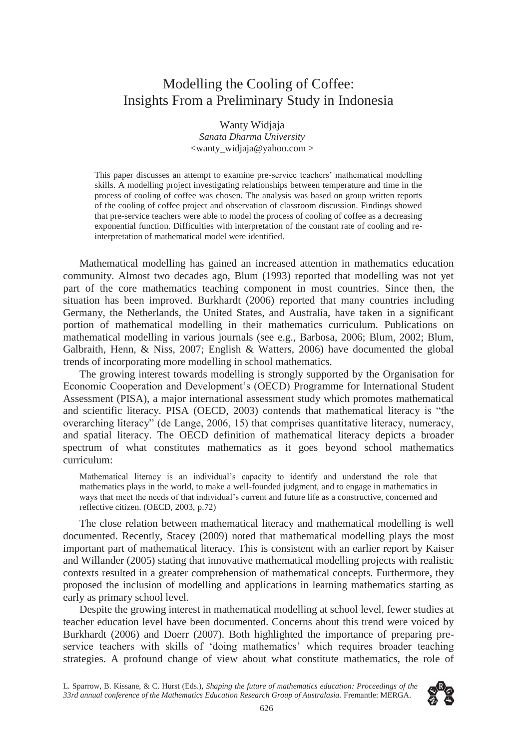# Modelling the Cooling of Coffee: Insights From a Preliminary Study in Indonesia

Wanty Widjaja *Sanata Dharma University*  <wanty\_widjaja@yahoo.com >

This paper discusses an attempt to examine pre-service teachers' mathematical modelling skills. A modelling project investigating relationships between temperature and time in the process of cooling of coffee was chosen. The analysis was based on group written reports of the cooling of coffee project and observation of classroom discussion. Findings showed that pre-service teachers were able to model the process of cooling of coffee as a decreasing exponential function. Difficulties with interpretation of the constant rate of cooling and reinterpretation of mathematical model were identified.

Mathematical modelling has gained an increased attention in mathematics education community. Almost two decades ago, Blum (1993) reported that modelling was not yet part of the core mathematics teaching component in most countries. Since then, the situation has been improved. Burkhardt (2006) reported that many countries including Germany, the Netherlands, the United States, and Australia, have taken in a significant portion of mathematical modelling in their mathematics curriculum. Publications on mathematical modelling in various journals (see e.g., Barbosa, 2006; Blum, 2002; Blum, Galbraith, Henn, & Niss, 2007; English & Watters, 2006) have documented the global trends of incorporating more modelling in school mathematics.

The growing interest towards modelling is strongly supported by the Organisation for Economic Cooperation and Development's (OECD) Programme for International Student Assessment (PISA), a major international assessment study which promotes mathematical and scientific literacy. PISA (OECD, 2003) contends that mathematical literacy is "the overarching literacy" (de Lange, 2006, 15) that comprises quantitative literacy, numeracy, and spatial literacy. The OECD definition of mathematical literacy depicts a broader spectrum of what constitutes mathematics as it goes beyond school mathematics curriculum:

Mathematical literacy is an individual's capacity to identify and understand the role that mathematics plays in the world, to make a well-founded judgment, and to engage in mathematics in ways that meet the needs of that individual's current and future life as a constructive, concerned and reflective citizen. (OECD, 2003, p.72)

The close relation between mathematical literacy and mathematical modelling is well documented. Recently, Stacey (2009) noted that mathematical modelling plays the most important part of mathematical literacy. This is consistent with an earlier report by Kaiser and Willander (2005) stating that innovative mathematical modelling projects with realistic contexts resulted in a greater comprehension of mathematical concepts. Furthermore, they proposed the inclusion of modelling and applications in learning mathematics starting as early as primary school level.

Despite the growing interest in mathematical modelling at school level, fewer studies at teacher education level have been documented. Concerns about this trend were voiced by Burkhardt (2006) and Doerr (2007). Both highlighted the importance of preparing preservice teachers with skills of 'doing mathematics' which requires broader teaching strategies. A profound change of view about what constitute mathematics, the role of

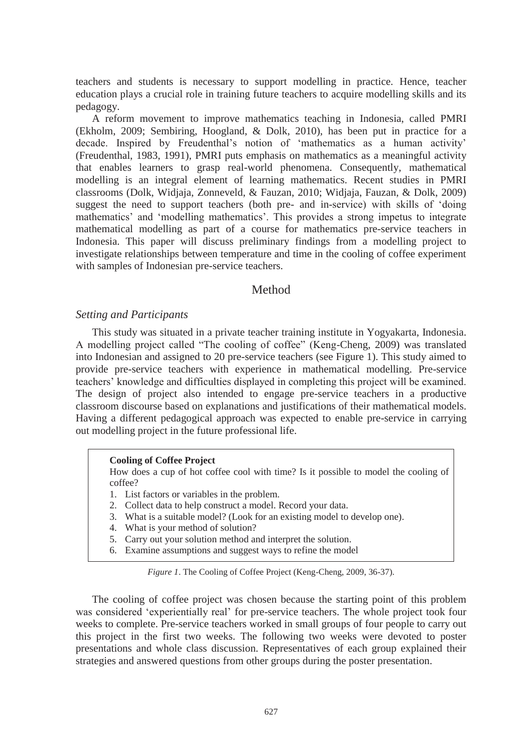teachers and students is necessary to support modelling in practice. Hence, teacher education plays a crucial role in training future teachers to acquire modelling skills and its pedagogy.

A reform movement to improve mathematics teaching in Indonesia, called PMRI (Ekholm, 2009; Sembiring, Hoogland, & Dolk, 2010), has been put in practice for a decade. Inspired by Freudenthal's notion of 'mathematics as a human activity' (Freudenthal, 1983, 1991), PMRI puts emphasis on mathematics as a meaningful activity that enables learners to grasp real-world phenomena. Consequently, mathematical modelling is an integral element of learning mathematics. Recent studies in PMRI classrooms (Dolk, Widjaja, Zonneveld, & Fauzan, 2010; Widjaja, Fauzan, & Dolk, 2009) suggest the need to support teachers (both pre- and in-service) with skills of 'doing mathematics' and 'modelling mathematics'. This provides a strong impetus to integrate mathematical modelling as part of a course for mathematics pre-service teachers in Indonesia. This paper will discuss preliminary findings from a modelling project to investigate relationships between temperature and time in the cooling of coffee experiment with samples of Indonesian pre-service teachers.

## Method

#### *Setting and Participants*

This study was situated in a private teacher training institute in Yogyakarta, Indonesia. A modelling project called "The cooling of coffee" (Keng-Cheng, 2009) was translated into Indonesian and assigned to 20 pre-service teachers (see Figure 1). This study aimed to provide pre-service teachers with experience in mathematical modelling. Pre-service teachers' knowledge and difficulties displayed in completing this project will be examined. The design of project also intended to engage pre-service teachers in a productive classroom discourse based on explanations and justifications of their mathematical models. Having a different pedagogical approach was expected to enable pre-service in carrying out modelling project in the future professional life.

#### **Cooling of Coffee Project**

How does a cup of hot coffee cool with time? Is it possible to model the cooling of coffee?

- 1. List factors or variables in the problem.
- 2. Collect data to help construct a model. Record your data.
- 3. What is a suitable model? (Look for an existing model to develop one).
- 4. What is your method of solution?
- 5. Carry out your solution method and interpret the solution.
- 6. Examine assumptions and suggest ways to refine the model

*Figure 1*. The Cooling of Coffee Project (Keng-Cheng, 2009, 36-37).

The cooling of coffee project was chosen because the starting point of this problem was considered 'experientially real' for pre-service teachers. The whole project took four weeks to complete. Pre-service teachers worked in small groups of four people to carry out this project in the first two weeks. The following two weeks were devoted to poster presentations and whole class discussion. Representatives of each group explained their strategies and answered questions from other groups during the poster presentation.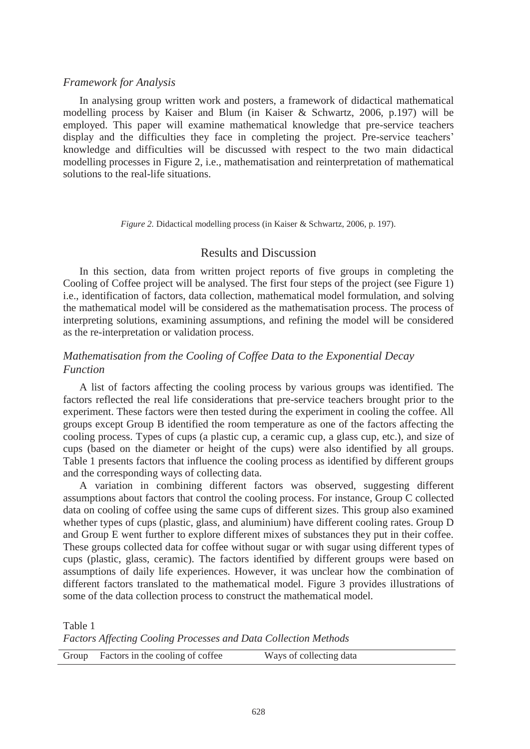#### *Framework for Analysis*

In analysing group written work and posters, a framework of didactical mathematical modelling process by Kaiser and Blum (in Kaiser & Schwartz, 2006, p.197) will be employed. This paper will examine mathematical knowledge that pre-service teachers display and the difficulties they face in completing the project. Pre-service teachers' knowledge and difficulties will be discussed with respect to the two main didactical modelling processes in Figure 2, i.e., mathematisation and reinterpretation of mathematical solutions to the real-life situations.

*Figure 2.* Didactical modelling process (in Kaiser & Schwartz, 2006, p. 197).

#### Results and Discussion

In this section, data from written project reports of five groups in completing the Cooling of Coffee project will be analysed. The first four steps of the project (see Figure 1) i.e., identification of factors, data collection, mathematical model formulation, and solving the mathematical model will be considered as the mathematisation process. The process of interpreting solutions, examining assumptions, and refining the model will be considered as the re-interpretation or validation process.

## *Mathematisation from the Cooling of Coffee Data to the Exponential Decay Function*

A list of factors affecting the cooling process by various groups was identified. The factors reflected the real life considerations that pre-service teachers brought prior to the experiment. These factors were then tested during the experiment in cooling the coffee. All groups except Group B identified the room temperature as one of the factors affecting the cooling process. Types of cups (a plastic cup, a ceramic cup, a glass cup, etc.), and size of cups (based on the diameter or height of the cups) were also identified by all groups. Table 1 presents factors that influence the cooling process as identified by different groups and the corresponding ways of collecting data.

A variation in combining different factors was observed, suggesting different assumptions about factors that control the cooling process. For instance, Group C collected data on cooling of coffee using the same cups of different sizes. This group also examined whether types of cups (plastic, glass, and aluminium) have different cooling rates. Group D and Group E went further to explore different mixes of substances they put in their coffee. These groups collected data for coffee without sugar or with sugar using different types of cups (plastic, glass, ceramic). The factors identified by different groups were based on assumptions of daily life experiences. However, it was unclear how the combination of different factors translated to the mathematical model. Figure 3 provides illustrations of some of the data collection process to construct the mathematical model.

Table 1

*Factors Affecting Cooling Processes and Data Collection Methods* 

|  | Group Factors in the cooling of coffee | Ways of collecting data |
|--|----------------------------------------|-------------------------|
|--|----------------------------------------|-------------------------|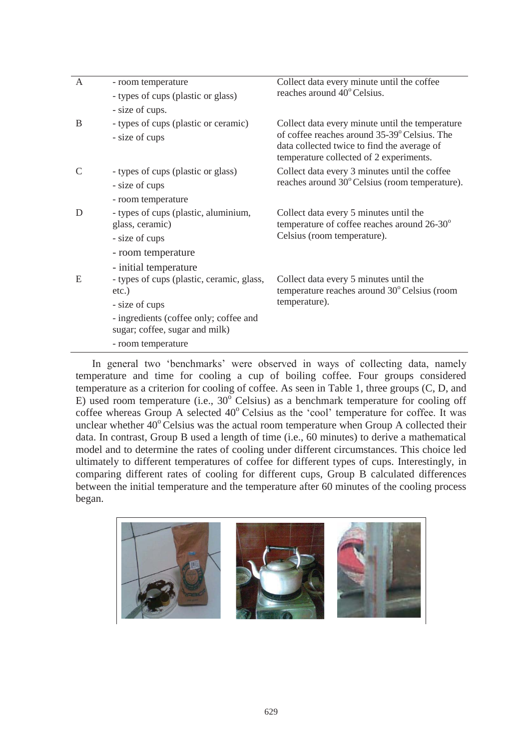| $\mathsf{A}$  | - room temperature                                                       | Collect data every minute until the coffee<br>reaches around 40° Celsius.                                                                                                                 |  |
|---------------|--------------------------------------------------------------------------|-------------------------------------------------------------------------------------------------------------------------------------------------------------------------------------------|--|
|               | - types of cups (plastic or glass)                                       |                                                                                                                                                                                           |  |
|               | - size of cups.                                                          |                                                                                                                                                                                           |  |
| B             | - types of cups (plastic or ceramic)                                     | Collect data every minute until the temperature<br>of coffee reaches around 35-39° Celsius. The<br>data collected twice to find the average of<br>temperature collected of 2 experiments. |  |
|               | - size of cups                                                           |                                                                                                                                                                                           |  |
| $\mathcal{C}$ | - types of cups (plastic or glass)                                       | Collect data every 3 minutes until the coffee<br>reaches around 30° Celsius (room temperature).                                                                                           |  |
|               | - size of cups                                                           |                                                                                                                                                                                           |  |
|               | - room temperature                                                       |                                                                                                                                                                                           |  |
| D             | - types of cups (plastic, aluminium,<br>glass, ceramic)                  | Collect data every 5 minutes until the<br>temperature of coffee reaches around $26-30^\circ$<br>Celsius (room temperature).                                                               |  |
|               | - size of cups                                                           |                                                                                                                                                                                           |  |
|               | - room temperature                                                       |                                                                                                                                                                                           |  |
|               | - initial temperature                                                    |                                                                                                                                                                                           |  |
| E             | - types of cups (plastic, ceramic, glass,<br>etc.)                       | Collect data every 5 minutes until the<br>temperature reaches around 30° Celsius (room<br>temperature).                                                                                   |  |
|               | - size of cups                                                           |                                                                                                                                                                                           |  |
|               | - ingredients (coffee only; coffee and<br>sugar; coffee, sugar and milk) |                                                                                                                                                                                           |  |
|               | - room temperature                                                       |                                                                                                                                                                                           |  |

In general two 'benchmarks' were observed in ways of collecting data, namely temperature and time for cooling a cup of boiling coffee. Four groups considered temperature as a criterion for cooling of coffee. As seen in Table 1, three groups (C, D, and E) used room temperature (i.e.,  $30^{\circ}$  Celsius) as a benchmark temperature for cooling off coffee whereas Group A selected  $40^{\circ}$  Celsius as the 'cool' temperature for coffee. It was unclear whether  $40^{\circ}$  Celsius was the actual room temperature when Group A collected their data. In contrast, Group B used a length of time (i.e., 60 minutes) to derive a mathematical model and to determine the rates of cooling under different circumstances. This choice led ultimately to different temperatures of coffee for different types of cups. Interestingly, in comparing different rates of cooling for different cups, Group B calculated differences between the initial temperature and the temperature after 60 minutes of the cooling process began.

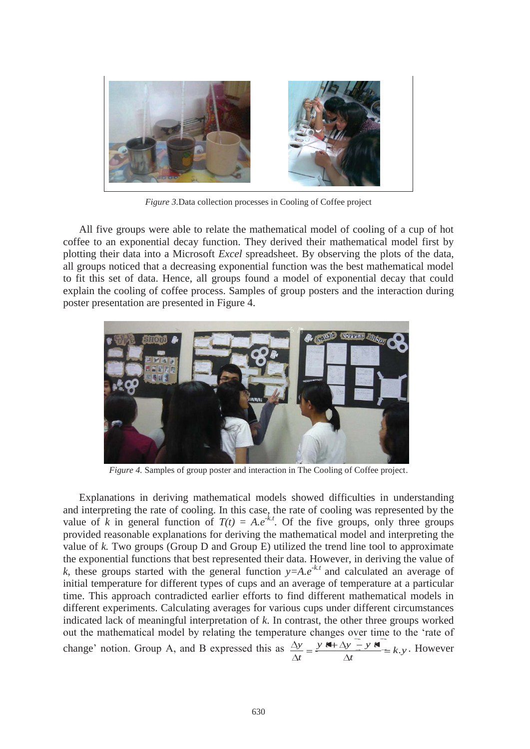

*Figure 3.*Data collection processes in Cooling of Coffee project

All five groups were able to relate the mathematical model of cooling of a cup of hot coffee to an exponential decay function. They derived their mathematical model first by plotting their data into a Microsoft *Excel* spreadsheet. By observing the plots of the data, all groups noticed that a decreasing exponential function was the best mathematical model to fit this set of data. Hence, all groups found a model of exponential decay that could explain the cooling of coffee process. Samples of group posters and the interaction during poster presentation are presented in Figure 4.



*Figure 4.* Samples of group poster and interaction in The Cooling of Coffee project.

Explanations in deriving mathematical models showed difficulties in understanding and interpreting the rate of cooling. In this case, the rate of cooling was represented by the value of *k* in general function of  $T(t) = A.e^{-kt}$ . Of the five groups, only three groups provided reasonable explanations for deriving the mathematical model and interpreting the value of *k.* Two groups (Group D and Group E) utilized the trend line tool to approximate the exponential functions that best represented their data. However, in deriving the value of *k*, these groups started with the general function  $y = Ae^{-kt}$  and calculated an average of initial temperature for different types of cups and an average of temperature at a particular time. This approach contradicted earlier efforts to find different mathematical models in different experiments. Calculating averages for various cups under different circumstances indicated lack of meaningful interpretation of *k*. In contrast, the other three groups worked out the mathematical model by relating the temperature changes over time to the 'rate of change' notion. Group A, and B expressed this as  $\frac{\Delta y}{\Delta t} = \frac{y \Delta t + \Delta y - y \Delta t}{t} = k \Delta y$ *t*  $y \neq \Delta y - y t$ *t*  $y = y$   $A + \Delta y = y$   $A = k$ . However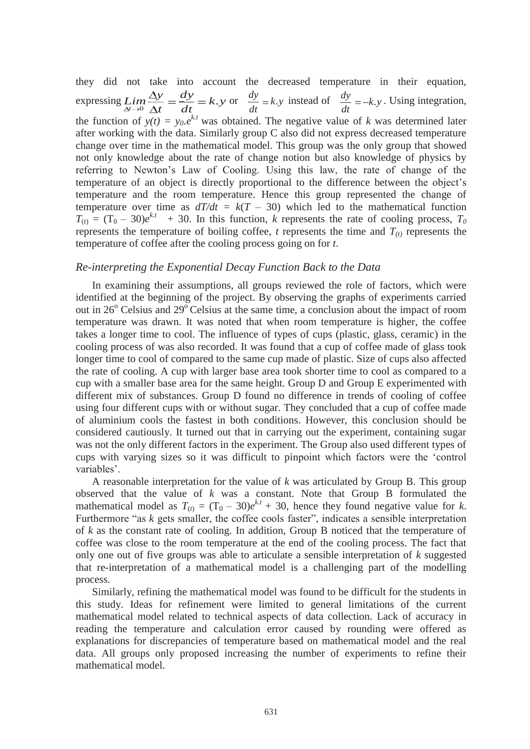they did not take into account the decreased temperature in their equation, expressing  $\lim_{\Delta t \to 0} \frac{\Delta y}{\Delta t} = \frac{dy}{dt} = k.y$ *t*  $\lim_{\Delta t \to 0} \frac{\Delta y}{\Delta t} = \frac{dy}{dt} = k.$  $\frac{dy}{dt} = dy = k \cdot y$  or  $\frac{dy}{dt} = k \cdot y$  instead of  $\frac{dy}{dt} = -k \cdot y$ . Using integration, the function of  $y(t) = y_0 e^{kt}$  was obtained. The negative value of *k* was determined later after working with the data. Similarly group C also did not express decreased temperature change over time in the mathematical model. This group was the only group that showed not only knowledge about the rate of change notion but also knowledge of physics by referring to Newton's Law of Cooling. Using this law, the rate of change of the temperature of an object is directly proportional to the difference between the object's temperature and the room temperature. Hence this group represented the change of temperature over time as  $dT/dt = k(T - 30)$  which led to the mathematical function  $T_{(t)} = (T_0 - 30)e^{kt} + 30$ . In this function, *k* represents the rate of cooling process,  $T_0$ represents the temperature of boiling coffee,  $t$  represents the time and  $T_{(t)}$  represents the temperature of coffee after the cooling process going on for *t*.

#### *Re-interpreting the Exponential Decay Function Back to the Data*

In examining their assumptions, all groups reviewed the role of factors, which were identified at the beginning of the project. By observing the graphs of experiments carried out in 26<sup>°</sup> Celsius and 29<sup>°</sup> Celsius at the same time, a conclusion about the impact of room temperature was drawn. It was noted that when room temperature is higher, the coffee takes a longer time to cool. The influence of types of cups (plastic, glass, ceramic) in the cooling process of was also recorded. It was found that a cup of coffee made of glass took longer time to cool of compared to the same cup made of plastic. Size of cups also affected the rate of cooling. A cup with larger base area took shorter time to cool as compared to a cup with a smaller base area for the same height. Group D and Group E experimented with different mix of substances. Group D found no difference in trends of cooling of coffee using four different cups with or without sugar. They concluded that a cup of coffee made of aluminium cools the fastest in both conditions. However, this conclusion should be considered cautiously. It turned out that in carrying out the experiment, containing sugar was not the only different factors in the experiment. The Group also used different types of cups with varying sizes so it was difficult to pinpoint which factors were the 'control variables'.

A reasonable interpretation for the value of *k* was articulated by Group B. This group observed that the value of *k* was a constant. Note that Group B formulated the mathematical model as  $T_{(t)} = (T_0 - 30)e^{kt} + 30$ , hence they found negative value for *k*. Furthermore "as *k* gets smaller, the coffee cools faster", indicates a sensible interpretation of *k* as the constant rate of cooling. In addition, Group B noticed that the temperature of coffee was close to the room temperature at the end of the cooling process. The fact that only one out of five groups was able to articulate a sensible interpretation of *k* suggested that re-interpretation of a mathematical model is a challenging part of the modelling process.

Similarly, refining the mathematical model was found to be difficult for the students in this study. Ideas for refinement were limited to general limitations of the current mathematical model related to technical aspects of data collection. Lack of accuracy in reading the temperature and calculation error caused by rounding were offered as explanations for discrepancies of temperature based on mathematical model and the real data. All groups only proposed increasing the number of experiments to refine their mathematical model.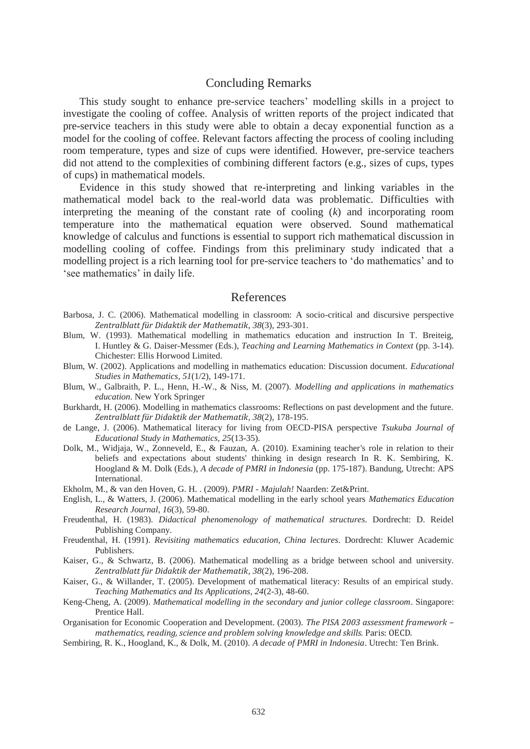#### Concluding Remarks

This study sought to enhance pre-service teachers' modelling skills in a project to investigate the cooling of coffee. Analysis of written reports of the project indicated that pre-service teachers in this study were able to obtain a decay exponential function as a model for the cooling of coffee. Relevant factors affecting the process of cooling including room temperature, types and size of cups were identified. However, pre-service teachers did not attend to the complexities of combining different factors (e.g., sizes of cups, types of cups) in mathematical models.

Evidence in this study showed that re-interpreting and linking variables in the mathematical model back to the real-world data was problematic. Difficulties with interpreting the meaning of the constant rate of cooling (*k*) and incorporating room temperature into the mathematical equation were observed. Sound mathematical knowledge of calculus and functions is essential to support rich mathematical discussion in modelling cooling of coffee. Findings from this preliminary study indicated that a modelling project is a rich learning tool for pre-service teachers to 'do mathematics' and to 'see mathematics' in daily life.

#### References

- Barbosa, J. C. (2006). Mathematical modelling in classroom: A socio-critical and discursive perspective *Zentralblatt für Didaktik der Mathematik*, *38*(3), 293-301.
- Blum, W. (1993). Mathematical modelling in mathematics education and instruction In T. Breiteig, I. Huntley & G. Daiser-Messmer (Eds.), *Teaching and Learning Mathematics in Context* (pp. 3-14). Chichester: Ellis Horwood Limited.
- Blum, W. (2002). Applications and modelling in mathematics education: Discussion document. *Educational Studies in Mathematics, 51*(1/2), 149-171.
- Blum, W., Galbraith, P. L., Henn, H.-W., & Niss, M. (2007). *Modelling and applications in mathematics education*. New York Springer
- Burkhardt, H. (2006). Modelling in mathematics classrooms: Reflections on past development and the future. *Zentralblatt für Didaktik der Mathematik, 38*(2), 178-195.
- de Lange, J. (2006). Mathematical literacy for living from OECD-PISA perspective *Tsukuba Journal of Educational Study in Mathematics, 25*(13-35).
- Dolk, M., Widjaja, W., Zonneveld, E., & Fauzan, A. (2010). Examining teacher's role in relation to their beliefs and expectations about students' thinking in design research In R. K. Sembiring, K. Hoogland & M. Dolk (Eds.), *A decade of PMRI in Indonesia* (pp. 175-187). Bandung, Utrecht: APS International.
- Ekholm, M., & van den Hoven, G. H. . (2009). *PMRI Majulah!* Naarden: Zet&Print.
- English, L., & Watters, J. (2006). Mathematical modelling in the early school years *Mathematics Education Research Journal, 16*(3), 59-80.
- Freudenthal, H. (1983). *Didactical phenomenology of mathematical structures*. Dordrecht: D. Reidel Publishing Company.
- Freudenthal, H. (1991). *Revisiting mathematics education, China lectures*. Dordrecht: Kluwer Academic Publishers.
- Kaiser, G., & Schwartz, B. (2006). Mathematical modelling as a bridge between school and university. *Zentralblatt für Didaktik der Mathematik, 38*(2), 196-208.
- Kaiser, G., & Willander, T. (2005). Development of mathematical literacy: Results of an empirical study. *Teaching Mathematics and Its Applications, 24*(2-3), 48-60.
- Keng-Cheng, A. (2009). *Mathematical modelling in the secondary and junior college classroom*. Singapore: Prentice Hall.
- Organisation for Economic Cooperation and Development. (2003). *The PISA 2003 assessment framework – mathematics, reading, science and problem solving knowledge and skills.* Paris: OECD.
- Sembiring, R. K., Hoogland, K., & Dolk, M. (2010). *A decade of PMRI in Indonesia*. Utrecht: Ten Brink.